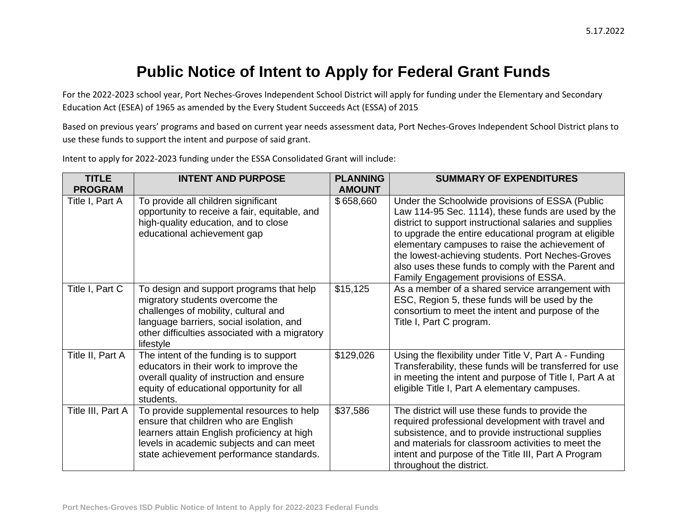## **Public Notice of Intent to Apply for Federal Grant Funds**

For the 2022-2023 school year, Port Neches-Groves Independent School District will apply for funding under the Elementary and Secondary Education Act (ESEA) of 1965 as amended by the Every Student Succeeds Act (ESSA) of 2015

Based on previous years' programs and based on current year needs assessment data, Port Neches-Groves Independent School District plans to use these funds to support the intent and purpose of said grant.

| <b>TITLE</b><br><b>PROGRAM</b> | <b>INTENT AND PURPOSE</b>                                                                                                                                                                                                      | <b>PLANNING</b><br><b>AMOUNT</b> | <b>SUMMARY OF EXPENDITURES</b>                                                                                                                                                                                                                                                                                                                                                                                                    |
|--------------------------------|--------------------------------------------------------------------------------------------------------------------------------------------------------------------------------------------------------------------------------|----------------------------------|-----------------------------------------------------------------------------------------------------------------------------------------------------------------------------------------------------------------------------------------------------------------------------------------------------------------------------------------------------------------------------------------------------------------------------------|
| Title I, Part A                | To provide all children significant<br>opportunity to receive a fair, equitable, and<br>high-quality education, and to close<br>educational achievement gap                                                                    | \$658,660                        | Under the Schoolwide provisions of ESSA (Public<br>Law 114-95 Sec. 1114), these funds are used by the<br>district to support instructional salaries and supplies<br>to upgrade the entire educational program at eligible<br>elementary campuses to raise the achievement of<br>the lowest-achieving students. Port Neches-Groves<br>also uses these funds to comply with the Parent and<br>Family Engagement provisions of ESSA. |
| Title I, Part C                | To design and support programs that help<br>migratory students overcome the<br>challenges of mobility, cultural and<br>language barriers, social isolation, and<br>other difficulties associated with a migratory<br>lifestyle | \$15,125                         | As a member of a shared service arrangement with<br>ESC, Region 5, these funds will be used by the<br>consortium to meet the intent and purpose of the<br>Title I, Part C program.                                                                                                                                                                                                                                                |
| Title II, Part A               | The intent of the funding is to support<br>educators in their work to improve the<br>overall quality of instruction and ensure<br>equity of educational opportunity for all<br>students.                                       | \$129,026                        | Using the flexibility under Title V, Part A - Funding<br>Transferability, these funds will be transferred for use<br>in meeting the intent and purpose of Title I, Part A at<br>eligible Title I, Part A elementary campuses.                                                                                                                                                                                                     |
| Title III, Part A              | To provide supplemental resources to help<br>ensure that children who are English<br>learners attain English proficiency at high<br>levels in academic subjects and can meet<br>state achievement performance standards.       | \$37,586                         | The district will use these funds to provide the<br>required professional development with travel and<br>subsistence, and to provide instructional supplies<br>and materials for classroom activities to meet the<br>intent and purpose of the Title III, Part A Program<br>throughout the district.                                                                                                                              |

Intent to apply for 2022-2023 funding under the ESSA Consolidated Grant will include: